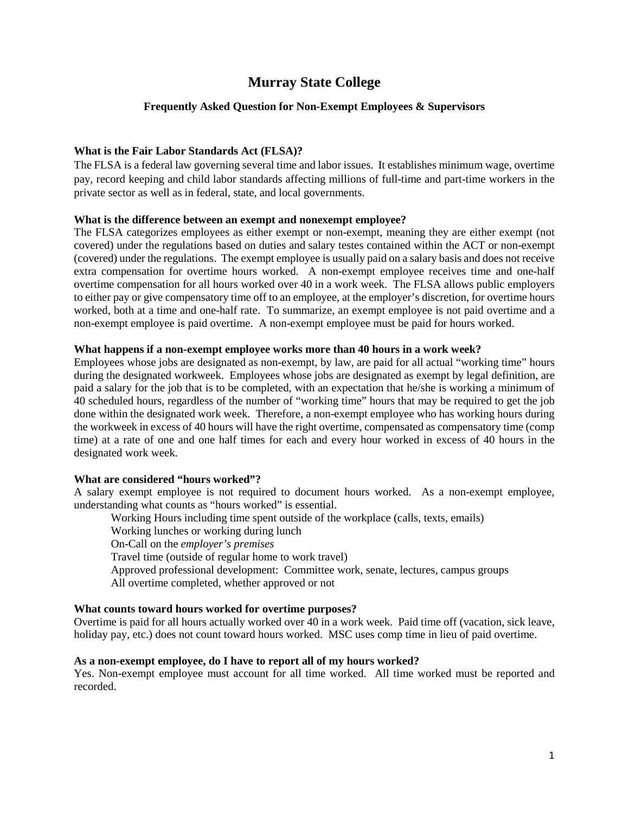# **Murray State College**

### **Frequently Asked Question for Non-Exempt Employees & Supervisors**

#### **What is the Fair Labor Standards Act (FLSA)?**

The FLSA is a federal law governing several time and labor issues. It establishes minimum wage, overtime pay, record keeping and child labor standards affecting millions of full-time and part-time workers in the private sector as well as in federal, state, and local governments.

### **What is the difference between an exempt and nonexempt employee?**

The FLSA categorizes employees as either exempt or non-exempt, meaning they are either exempt (not covered) under the regulations based on duties and salary testes contained within the ACT or non-exempt (covered) under the regulations. The exempt employee is usually paid on a salary basis and does not receive extra compensation for overtime hours worked. A non-exempt employee receives time and one-half overtime compensation for all hours worked over 40 in a work week. The FLSA allows public employers to either pay or give compensatory time off to an employee, at the employer's discretion, for overtime hours worked, both at a time and one-half rate. To summarize, an exempt employee is not paid overtime and a non-exempt employee is paid overtime. A non-exempt employee must be paid for hours worked.

### **What happens if a non-exempt employee works more than 40 hours in a work week?**

Employees whose jobs are designated as non-exempt, by law, are paid for all actual "working time" hours during the designated workweek. Employees whose jobs are designated as exempt by legal definition, are paid a salary for the job that is to be completed, with an expectation that he/she is working a minimum of 40 scheduled hours, regardless of the number of "working time" hours that may be required to get the job done within the designated work week. Therefore, a non-exempt employee who has working hours during the workweek in excess of 40 hours will have the right overtime, compensated as compensatory time (comp time) at a rate of one and one half times for each and every hour worked in excess of 40 hours in the designated work week.

#### **What are considered "hours worked"?**

A salary exempt employee is not required to document hours worked. As a non-exempt employee, understanding what counts as "hours worked" is essential.

Working Hours including time spent outside of the workplace (calls, texts, emails) Working lunches or working during lunch On-Call on the *employer's premises* Travel time (outside of regular home to work travel) Approved professional development: Committee work, senate, lectures, campus groups All overtime completed, whether approved or not

### **What counts toward hours worked for overtime purposes?**

Overtime is paid for all hours actually worked over 40 in a work week. Paid time off (vacation, sick leave, holiday pay, etc.) does not count toward hours worked. MSC uses comp time in lieu of paid overtime.

#### **As a non-exempt employee, do I have to report all of my hours worked?**

Yes. Non-exempt employee must account for all time worked. All time worked must be reported and recorded.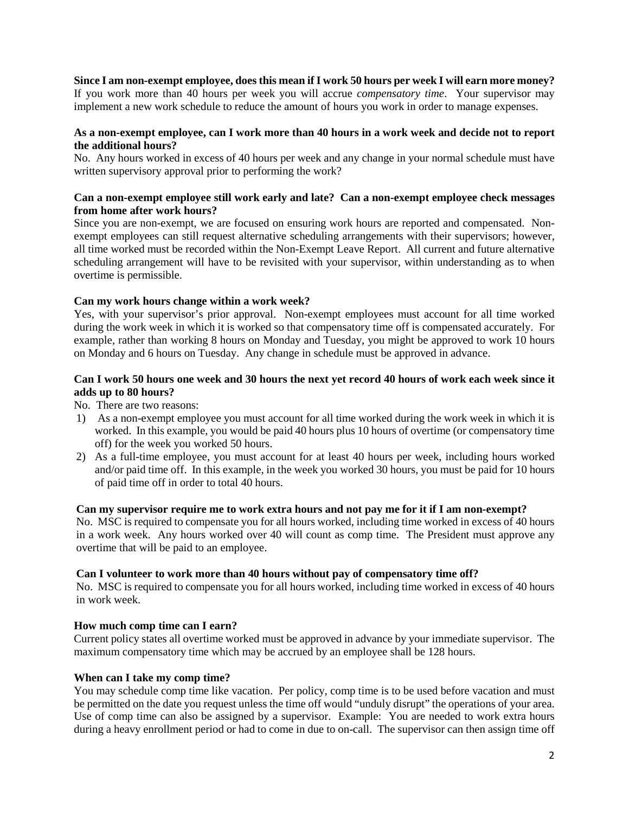**Since I am non-exempt employee, does this mean if I work 50 hours per week I will earn more money?**

If you work more than 40 hours per week you will accrue *compensatory time*. Your supervisor may implement a new work schedule to reduce the amount of hours you work in order to manage expenses.

### **As a non-exempt employee, can I work more than 40 hours in a work week and decide not to report the additional hours?**

No. Any hours worked in excess of 40 hours per week and any change in your normal schedule must have written supervisory approval prior to performing the work?

### **Can a non-exempt employee still work early and late? Can a non-exempt employee check messages from home after work hours?**

Since you are non-exempt, we are focused on ensuring work hours are reported and compensated. Nonexempt employees can still request alternative scheduling arrangements with their supervisors; however, all time worked must be recorded within the Non-Exempt Leave Report. All current and future alternative scheduling arrangement will have to be revisited with your supervisor, within understanding as to when overtime is permissible.

### **Can my work hours change within a work week?**

Yes, with your supervisor's prior approval. Non-exempt employees must account for all time worked during the work week in which it is worked so that compensatory time off is compensated accurately. For example, rather than working 8 hours on Monday and Tuesday, you might be approved to work 10 hours on Monday and 6 hours on Tuesday. Any change in schedule must be approved in advance.

### **Can I work 50 hours one week and 30 hours the next yet record 40 hours of work each week since it adds up to 80 hours?**

No. There are two reasons:

- 1) As a non-exempt employee you must account for all time worked during the work week in which it is worked. In this example, you would be paid 40 hours plus 10 hours of overtime (or compensatory time off) for the week you worked 50 hours.
- 2) As a full-time employee, you must account for at least 40 hours per week, including hours worked and/or paid time off. In this example, in the week you worked 30 hours, you must be paid for 10 hours of paid time off in order to total 40 hours.

### **Can my supervisor require me to work extra hours and not pay me for it if I am non-exempt?**

No. MSC is required to compensate you for all hours worked, including time worked in excess of 40 hours in a work week. Any hours worked over 40 will count as comp time. The President must approve any overtime that will be paid to an employee.

### **Can I volunteer to work more than 40 hours without pay of compensatory time off?**

No. MSC is required to compensate you for all hours worked, including time worked in excess of 40 hours in work week.

### **How much comp time can I earn?**

Current policy states all overtime worked must be approved in advance by your immediate supervisor. The maximum compensatory time which may be accrued by an employee shall be 128 hours.

### **When can I take my comp time?**

You may schedule comp time like vacation. Per policy, comp time is to be used before vacation and must be permitted on the date you request unless the time off would "unduly disrupt" the operations of your area. Use of comp time can also be assigned by a supervisor. Example: You are needed to work extra hours during a heavy enrollment period or had to come in due to on-call. The supervisor can then assign time off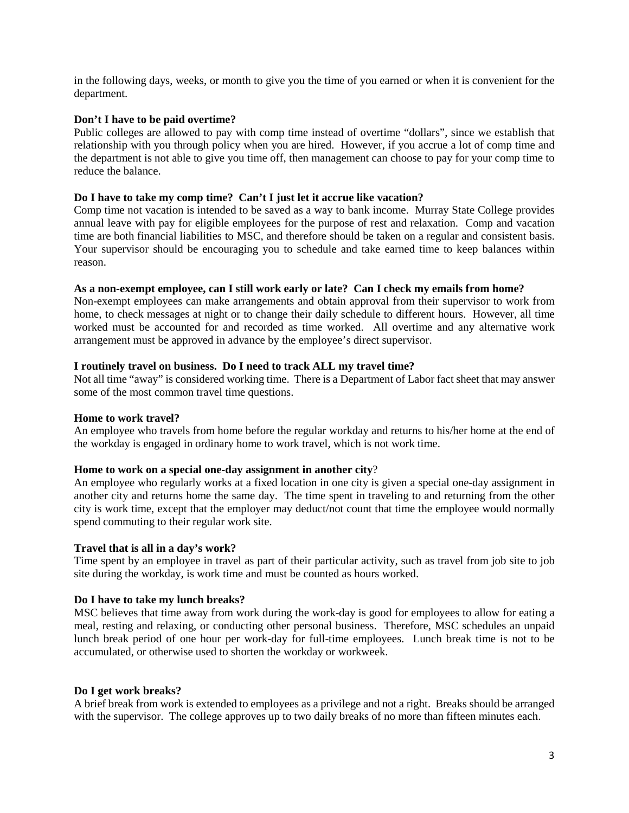in the following days, weeks, or month to give you the time of you earned or when it is convenient for the department.

### **Don't I have to be paid overtime?**

Public colleges are allowed to pay with comp time instead of overtime "dollars", since we establish that relationship with you through policy when you are hired. However, if you accrue a lot of comp time and the department is not able to give you time off, then management can choose to pay for your comp time to reduce the balance.

### **Do I have to take my comp time? Can't I just let it accrue like vacation?**

Comp time not vacation is intended to be saved as a way to bank income. Murray State College provides annual leave with pay for eligible employees for the purpose of rest and relaxation. Comp and vacation time are both financial liabilities to MSC, and therefore should be taken on a regular and consistent basis. Your supervisor should be encouraging you to schedule and take earned time to keep balances within reason.

### **As a non-exempt employee, can I still work early or late? Can I check my emails from home?**

Non-exempt employees can make arrangements and obtain approval from their supervisor to work from home, to check messages at night or to change their daily schedule to different hours. However, all time worked must be accounted for and recorded as time worked. All overtime and any alternative work arrangement must be approved in advance by the employee's direct supervisor.

### **I routinely travel on business. Do I need to track ALL my travel time?**

Not all time "away" is considered working time. There is a Department of Labor fact sheet that may answer some of the most common travel time questions.

#### **Home to work travel?**

An employee who travels from home before the regular workday and returns to his/her home at the end of the workday is engaged in ordinary home to work travel, which is not work time.

#### **Home to work on a special one-day assignment in another city**?

An employee who regularly works at a fixed location in one city is given a special one-day assignment in another city and returns home the same day. The time spent in traveling to and returning from the other city is work time, except that the employer may deduct/not count that time the employee would normally spend commuting to their regular work site.

#### **Travel that is all in a day's work?**

Time spent by an employee in travel as part of their particular activity, such as travel from job site to job site during the workday, is work time and must be counted as hours worked.

#### **Do I have to take my lunch breaks?**

MSC believes that time away from work during the work-day is good for employees to allow for eating a meal, resting and relaxing, or conducting other personal business. Therefore, MSC schedules an unpaid lunch break period of one hour per work-day for full-time employees. Lunch break time is not to be accumulated, or otherwise used to shorten the workday or workweek.

#### **Do I get work breaks?**

A brief break from work is extended to employees as a privilege and not a right. Breaks should be arranged with the supervisor. The college approves up to two daily breaks of no more than fifteen minutes each.